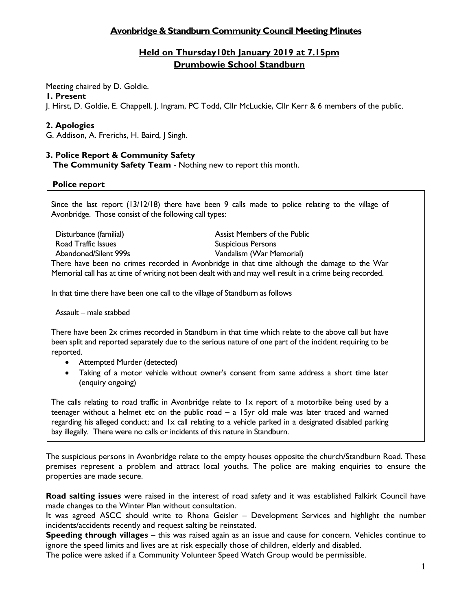# **Avonbridge & Standburn Community Council Meeting Minutes**

# **Held on Thursday10th January 2019 at 7.15pm Drumbowie School Standburn**

Meeting chaired by D. Goldie.

#### **1. Present**

J. Hirst, D. Goldie, E. Chappell, J. Ingram, PC Todd, Cllr McLuckie, Cllr Kerr & 6 members of the public.

# **2. Apologies**

G. Addison, A. Frerichs, H. Baird, J Singh.

# **3. Police Report & Community Safety**

**The Community Safety Team** - Nothing new to report this month.

#### **Police report**

Since the last report (13/12/18) there have been 9 calls made to police relating to the village of Avonbridge. Those consist of the following call types:

Road Traffic Issues **Suspicious Persons** Suspicious Persons

Disturbance (familial) Assist Members of the Public Abandoned/Silent 999s Vandalism (War Memorial)

There have been no crimes recorded in Avonbridge in that time although the damage to the War Memorial call has at time of writing not been dealt with and may well result in a crime being recorded.

In that time there have been one call to the village of Standburn as follows

Assault – male stabbed

There have been 2x crimes recorded in Standburn in that time which relate to the above call but have been split and reported separately due to the serious nature of one part of the incident requiring to be reported.

- Attempted Murder (detected)
- Taking of a motor vehicle without owner's consent from same address a short time later (enquiry ongoing)

The calls relating to road traffic in Avonbridge relate to 1x report of a motorbike being used by a teenager without a helmet etc on the public road – a 15yr old male was later traced and warned regarding his alleged conduct; and 1x call relating to a vehicle parked in a designated disabled parking bay illegally. There were no calls or incidents of this nature in Standburn.

The suspicious persons in Avonbridge relate to the empty houses opposite the church/Standburn Road. These premises represent a problem and attract local youths. The police are making enquiries to ensure the properties are made secure.

**Road salting issues** were raised in the interest of road safety and it was established Falkirk Council have made changes to the Winter Plan without consultation.

It was agreed ASCC should write to Rhona Geisler – Development Services and highlight the number incidents/accidents recently and request salting be reinstated.

**Speeding through villages** – this was raised again as an issue and cause for concern. Vehicles continue to ignore the speed limits and lives are at risk especially those of children, elderly and disabled.

The police were asked if a Community Volunteer Speed Watch Group would be permissible.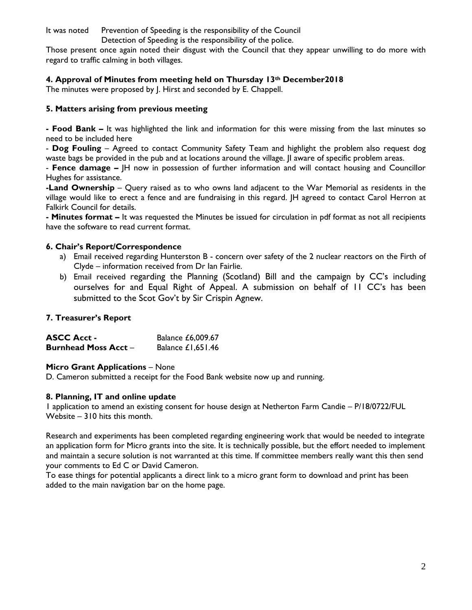It was noted Prevention of Speeding is the responsibility of the Council

Detection of Speeding is the responsibility of the police.

Those present once again noted their disgust with the Council that they appear unwilling to do more with regard to traffic calming in both villages.

## **4. Approval of Minutes from meeting held on Thursday 13th December2018**

The minutes were proposed by J. Hirst and seconded by E. Chappell.

# **5. Matters arising from previous meeting**

**- Food Bank –** It was highlighted the link and information for this were missing from the last minutes so need to be included here

- **Dog Fouling** – Agreed to contact Community Safety Team and highlight the problem also request dog waste bags be provided in the pub and at locations around the village. JI aware of specific problem areas.

- **Fence damage –** JH now in possession of further information and will contact housing and Councillor Hughes for assistance.

**-Land Ownership** – Query raised as to who owns land adjacent to the War Memorial as residents in the village would like to erect a fence and are fundraising in this regard. JH agreed to contact Carol Herron at Falkirk Council for details.

**- Minutes format –** It was requested the Minutes be issued for circulation in pdf format as not all recipients have the software to read current format.

# **6. Chair's Report/Correspondence**

- a) Email received regarding Hunterston B concern over safety of the 2 nuclear reactors on the Firth of Clyde – information received from Dr Ian Fairlie.
- b) Email received regarding the Planning (Scotland) Bill and the campaign by CC's including ourselves for and Equal Right of Appeal. A submission on behalf of 11 CC's has been submitted to the Scot Gov't by Sir Crispin Agnew.

# **7. Treasurer's Report**

**ASCC Acct -** Balance £6,009.67 **Burnhead Moss Acct – Balance £1,651.46** 

## **Micro Grant Applications** – None

D. Cameron submitted a receipt for the Food Bank website now up and running.

## **8. Planning, IT and online update**

1 application to amend an existing consent for house design at Netherton Farm Candie – P/18/0722/FUL Website – 310 hits this month.

Research and experiments has been completed regarding engineering work that would be needed to integrate an application form for Micro grants into the site. It is technically possible, but the effort needed to implement and maintain a secure solution is not warranted at this time. If committee members really want this then send your comments to Ed C or David Cameron.

To ease things for potential applicants a direct link to a micro grant form to download and print has been added to the main navigation bar on the home page.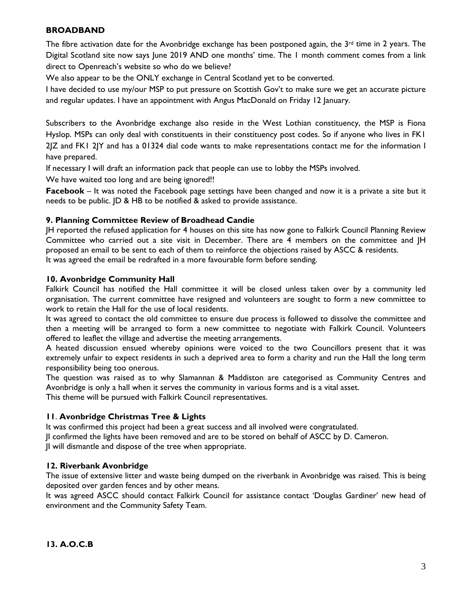# **BROADBAND**

The fibre activation date for the Avonbridge exchange has been postponed again, the  $3<sup>rd</sup>$  time in 2 years. The Digital Scotland site now says June 2019 AND one months' time. The 1 month comment comes from a link direct to Openreach's website so who do we believe?

We also appear to be the ONLY exchange in Central Scotland yet to be converted.

I have decided to use my/our MSP to put pressure on Scottish Gov't to make sure we get an accurate picture and regular updates. I have an appointment with Angus MacDonald on Friday 12 January.

Subscribers to the Avonbridge exchange also reside in the West Lothian constituency, the MSP is Fiona Hyslop. MSPs can only deal with constituents in their constituency post codes. So if anyone who lives in FK1 2JZ and FK1 2JY and has a 01324 dial code wants to make representations contact me for the information I have prepared.

If necessary I will draft an information pack that people can use to lobby the MSPs involved.

We have waited too long and are being ignored!!

**Facebook** – It was noted the Facebook page settings have been changed and now it is a private a site but it needs to be public. JD & HB to be notified & asked to provide assistance.

## **9. Planning Committee Review of Broadhead Candie**

JH reported the refused application for 4 houses on this site has now gone to Falkirk Council Planning Review Committee who carried out a site visit in December. There are 4 members on the committee and JH proposed an email to be sent to each of them to reinforce the objections raised by ASCC & residents. It was agreed the email be redrafted in a more favourable form before sending.

#### **10. Avonbridge Community Hall**

Falkirk Council has notified the Hall committee it will be closed unless taken over by a community led organisation. The current committee have resigned and volunteers are sought to form a new committee to work to retain the Hall for the use of local residents.

It was agreed to contact the old committee to ensure due process is followed to dissolve the committee and then a meeting will be arranged to form a new committee to negotiate with Falkirk Council. Volunteers offered to leaflet the village and advertise the meeting arrangements.

A heated discussion ensued whereby opinions were voiced to the two Councillors present that it was extremely unfair to expect residents in such a deprived area to form a charity and run the Hall the long term responsibility being too onerous.

The question was raised as to why Slamannan & Maddiston are categorised as Community Centres and Avonbridge is only a hall when it serves the community in various forms and is a vital asset.

This theme will be pursued with Falkirk Council representatives.

## **11**. **Avonbridge Christmas Tree & Lights**

It was confirmed this project had been a great success and all involved were congratulated.

JI confirmed the lights have been removed and are to be stored on behalf of ASCC by D. Cameron.

JI will dismantle and dispose of the tree when appropriate.

#### **12. Riverbank Avonbridge**

The issue of extensive litter and waste being dumped on the riverbank in Avonbridge was raised. This is being deposited over garden fences and by other means.

It was agreed ASCC should contact Falkirk Council for assistance contact 'Douglas Gardiner' new head of environment and the Community Safety Team.